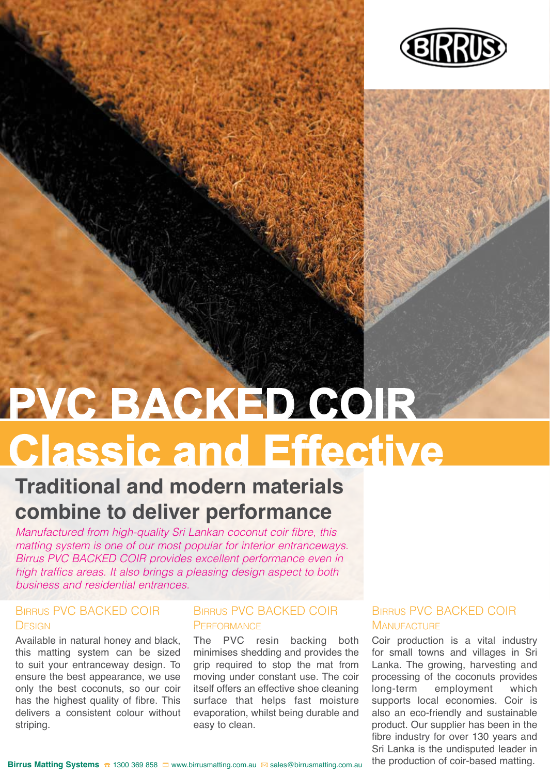

# **Classic and Effective PVC BACKED COIR**

### **Traditional and modern materials combine to deliver performance**

*Manufactured from high-quality Sri Lankan coconut coir fibre, this matting system is one of our most popular for interior entranceways. Birrus PVC BACKED COIR provides excellent performance even in high traffics areas. It also brings a pleasing design aspect to both business and residential entrances.*

#### Birrus PVC BACKED COIR **DESIGN**

Available in natural honey and black, this matting system can be sized to suit your entranceway design. To ensure the best appearance, we use only the best coconuts, so our coir has the highest quality of fibre. This delivers a consistent colour without striping.

#### Birrus PVC BACKED COIR **PERFORMANCE**

The PVC resin backing both minimises shedding and provides the grip required to stop the mat from moving under constant use. The coir itself offers an effective shoe cleaning surface that helps fast moisture evaporation, whilst being durable and easy to clean.

#### Birrus PVC BACKED COIR **MANUFACTURE**

Coir production is a vital industry for small towns and villages in Sri Lanka. The growing, harvesting and processing of the coconuts provides long-term employment which supports local economies. Coir is also an eco-friendly and sustainable product. Our supplier has been in the fibre industry for over 130 years and Sri Lanka is the undisputed leader in the production of coir-based matting.